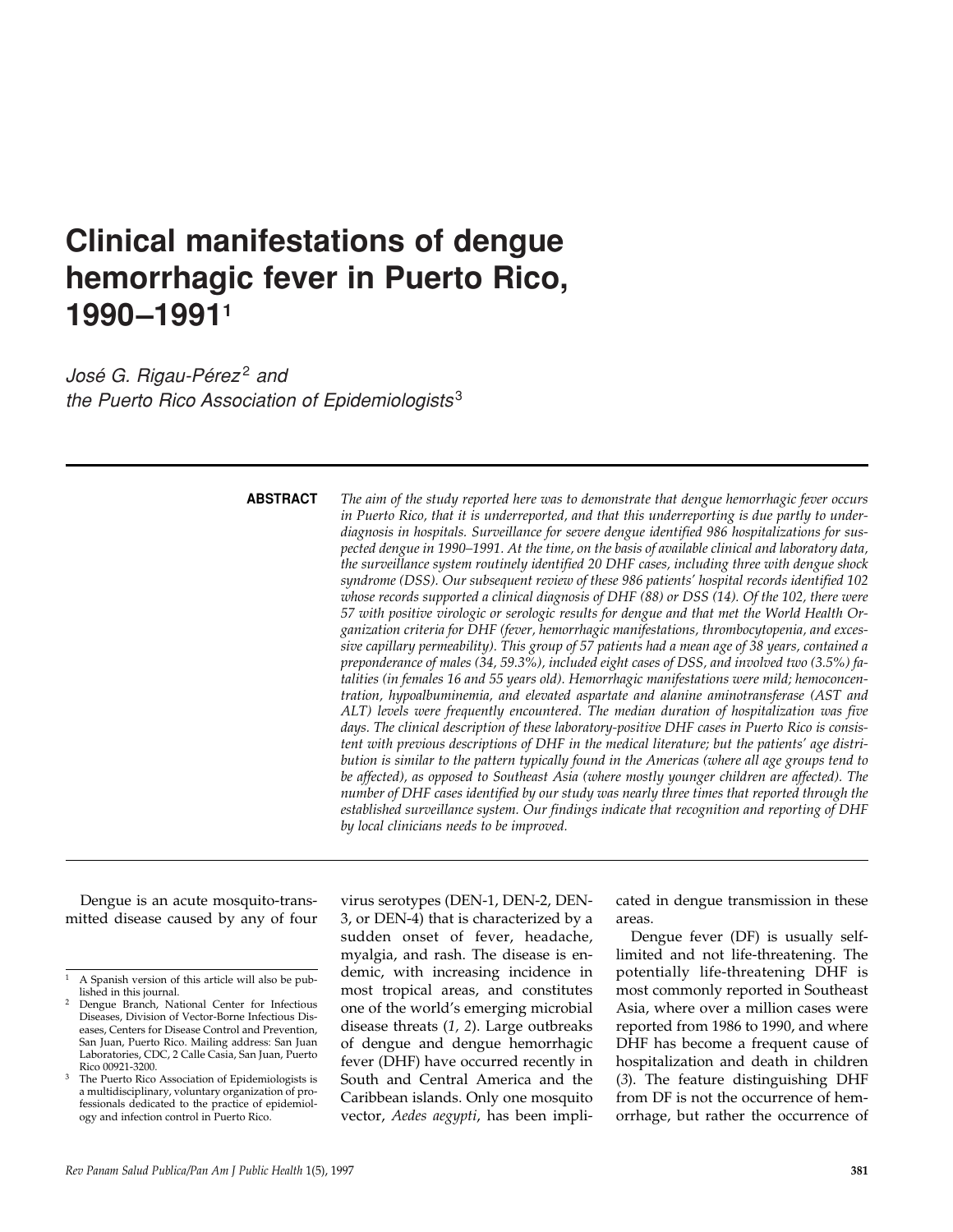# **Clinical manifestations of dengue hemorrhagic fever in Puerto Rico, 1990–19911**

*José G. Rigau-Pérez<sup>2</sup> and the Puerto Rico Association of Epidemiologists* <sup>3</sup>

## **ABSTRACT**

*The aim of the study reported here was to demonstrate that dengue hemorrhagic fever occurs in Puerto Rico, that it is underreported, and that this underreporting is due partly to underdiagnosis in hospitals. Surveillance for severe dengue identified 986 hospitalizations for suspected dengue in 1990–1991. At the time, on the basis of available clinical and laboratory data, the surveillance system routinely identified 20 DHF cases, including three with dengue shock syndrome (DSS). Our subsequent review of these 986 patients' hospital records identified 102 whose records supported a clinical diagnosis of DHF (88) or DSS (14). Of the 102, there were 57 with positive virologic or serologic results for dengue and that met the World Health Organization criteria for DHF (fever, hemorrhagic manifestations, thrombocytopenia, and excessive capillary permeability). This group of 57 patients had a mean age of 38 years, contained a preponderance of males (34, 59.3%), included eight cases of DSS, and involved two (3.5%) fatalities (in females 16 and 55 years old). Hemorrhagic manifestations were mild; hemoconcentration, hypoalbuminemia, and elevated aspartate and alanine aminotransferase (AST and ALT) levels were frequently encountered. The median duration of hospitalization was five days. The clinical description of these laboratory-positive DHF cases in Puerto Rico is consistent with previous descriptions of DHF in the medical literature; but the patients' age distribution is similar to the pattern typically found in the Americas (where all age groups tend to be affected), as opposed to Southeast Asia (where mostly younger children are affected). The number of DHF cases identified by our study was nearly three times that reported through the established surveillance system. Our findings indicate that recognition and reporting of DHF by local clinicians needs to be improved.*

Dengue is an acute mosquito-transmitted disease caused by any of four

virus serotypes (DEN-1, DEN-2, DEN-3, or DEN-4) that is characterized by a sudden onset of fever, headache, myalgia, and rash. The disease is endemic, with increasing incidence in most tropical areas, and constitutes one of the world's emerging microbial disease threats (*1, 2*). Large outbreaks of dengue and dengue hemorrhagic fever (DHF) have occurred recently in South and Central America and the Caribbean islands. Only one mosquito vector, *Aedes aegypti*, has been implicated in dengue transmission in these areas.

Dengue fever (DF) is usually selflimited and not life-threatening. The potentially life-threatening DHF is most commonly reported in Southeast Asia, where over a million cases were reported from 1986 to 1990, and where DHF has become a frequent cause of hospitalization and death in children (*3*). The feature distinguishing DHF from DF is not the occurrence of hemorrhage, but rather the occurrence of

<sup>1</sup> A Spanish version of this article will also be published in this journal.

<sup>2</sup> Dengue Branch, National Center for Infectious Diseases, Division of Vector-Borne Infectious Diseases, Centers for Disease Control and Prevention, San Juan, Puerto Rico. Mailing address: San Juan Laboratories, CDC, 2 Calle Casia, San Juan, Puerto Rico 00921-3200.

The Puerto Rico Association of Epidemiologists is a multidisciplinary, voluntary organization of professionals dedicated to the practice of epidemiology and infection control in Puerto Rico.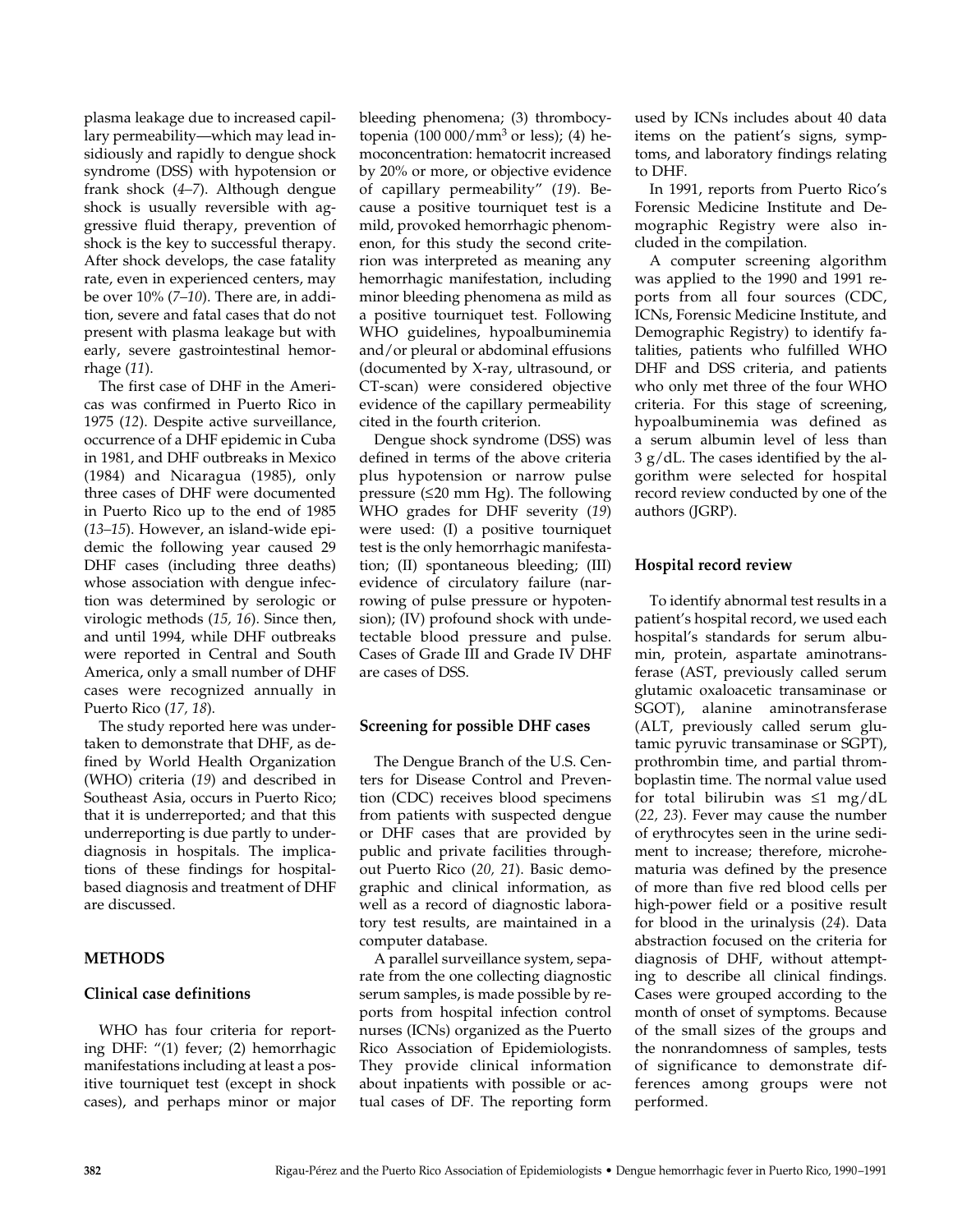plasma leakage due to increased capillary permeability—which may lead insidiously and rapidly to dengue shock syndrome (DSS) with hypotension or frank shock (*4–7*). Although dengue shock is usually reversible with aggressive fluid therapy, prevention of shock is the key to successful therapy. After shock develops, the case fatality rate, even in experienced centers, may be over 10% (*7–10*). There are, in addition, severe and fatal cases that do not present with plasma leakage but with early, severe gastrointestinal hemorrhage (*11*).

The first case of DHF in the Americas was confirmed in Puerto Rico in 1975 (*12*). Despite active surveillance, occurrence of a DHF epidemic in Cuba in 1981, and DHF outbreaks in Mexico (1984) and Nicaragua (1985), only three cases of DHF were documented in Puerto Rico up to the end of 1985 (*13–15*). However, an island-wide epidemic the following year caused 29 DHF cases (including three deaths) whose association with dengue infection was determined by serologic or virologic methods (*15, 16*). Since then, and until 1994, while DHF outbreaks were reported in Central and South America, only a small number of DHF cases were recognized annually in Puerto Rico (*17, 18*).

The study reported here was undertaken to demonstrate that DHF, as defined by World Health Organization (WHO) criteria (*19*) and described in Southeast Asia, occurs in Puerto Rico; that it is underreported; and that this underreporting is due partly to underdiagnosis in hospitals. The implications of these findings for hospitalbased diagnosis and treatment of DHF are discussed.

# **METHODS**

#### **Clinical case definitions**

WHO has four criteria for reporting DHF: "(1) fever; (2) hemorrhagic manifestations including at least a positive tourniquet test (except in shock cases), and perhaps minor or major

bleeding phenomena; (3) thrombocytopenia  $(100\ 000/mm^3$  or less); (4) hemoconcentration: hematocrit increased by 20% or more, or objective evidence of capillary permeability" (*19*). Because a positive tourniquet test is a mild, provoked hemorrhagic phenomenon, for this study the second criterion was interpreted as meaning any hemorrhagic manifestation, including minor bleeding phenomena as mild as a positive tourniquet test. Following WHO guidelines, hypoalbuminemia and/or pleural or abdominal effusions (documented by X-ray, ultrasound, or CT-scan) were considered objective evidence of the capillary permeability cited in the fourth criterion.

Dengue shock syndrome (DSS) was defined in terms of the above criteria plus hypotension or narrow pulse pressure (≤20 mm Hg). The following WHO grades for DHF severity (*19*) were used: (I) a positive tourniquet test is the only hemorrhagic manifestation; (II) spontaneous bleeding; (III) evidence of circulatory failure (narrowing of pulse pressure or hypotension); (IV) profound shock with undetectable blood pressure and pulse. Cases of Grade III and Grade IV DHF are cases of DSS.

# **Screening for possible DHF cases**

The Dengue Branch of the U.S. Centers for Disease Control and Prevention (CDC) receives blood specimens from patients with suspected dengue or DHF cases that are provided by public and private facilities throughout Puerto Rico (*20, 21*). Basic demographic and clinical information, as well as a record of diagnostic laboratory test results, are maintained in a computer database.

A parallel surveillance system, separate from the one collecting diagnostic serum samples, is made possible by reports from hospital infection control nurses (ICNs) organized as the Puerto Rico Association of Epidemiologists. They provide clinical information about inpatients with possible or actual cases of DF. The reporting form

used by ICNs includes about 40 data items on the patient's signs, symptoms, and laboratory findings relating to DHF.

In 1991, reports from Puerto Rico's Forensic Medicine Institute and Demographic Registry were also included in the compilation.

A computer screening algorithm was applied to the 1990 and 1991 reports from all four sources (CDC, ICNs, Forensic Medicine Institute, and Demographic Registry) to identify fatalities, patients who fulfilled WHO DHF and DSS criteria, and patients who only met three of the four WHO criteria. For this stage of screening, hypoalbuminemia was defined as a serum albumin level of less than 3 g/dL. The cases identified by the algorithm were selected for hospital record review conducted by one of the authors (JGRP).

# **Hospital record review**

To identify abnormal test results in a patient's hospital record, we used each hospital's standards for serum albumin, protein, aspartate aminotransferase (AST, previously called serum glutamic oxaloacetic transaminase or SGOT), alanine aminotransferase (ALT, previously called serum glutamic pyruvic transaminase or SGPT), prothrombin time, and partial thromboplastin time. The normal value used for total bilirubin was ≤1 mg/dL (*22, 23*). Fever may cause the number of erythrocytes seen in the urine sediment to increase; therefore, microhematuria was defined by the presence of more than five red blood cells per high-power field or a positive result for blood in the urinalysis (*24*). Data abstraction focused on the criteria for diagnosis of DHF, without attempting to describe all clinical findings. Cases were grouped according to the month of onset of symptoms. Because of the small sizes of the groups and the nonrandomness of samples, tests of significance to demonstrate differences among groups were not performed.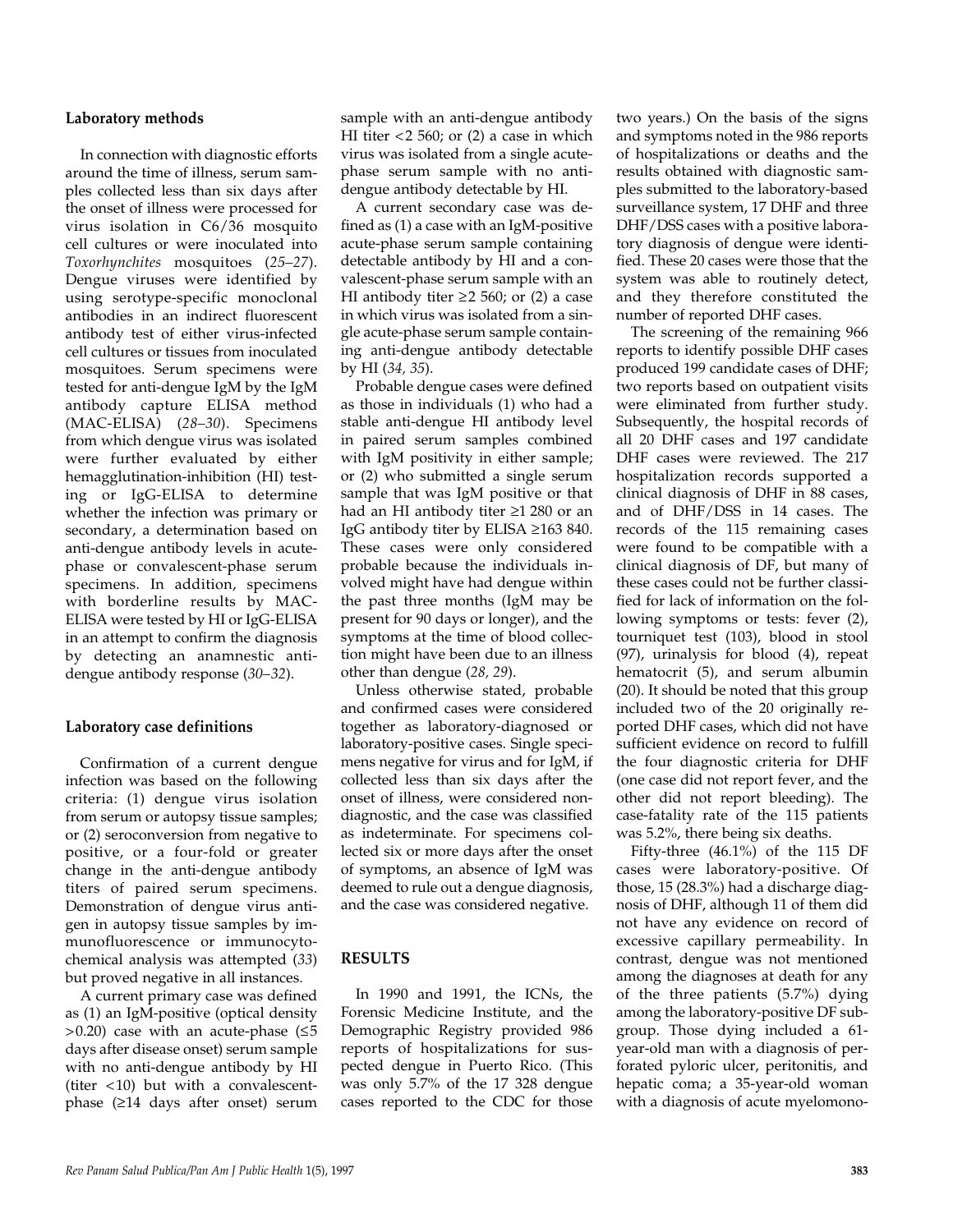## **Laboratory methods**

In connection with diagnostic efforts around the time of illness, serum samples collected less than six days after the onset of illness were processed for virus isolation in C6/36 mosquito cell cultures or were inoculated into *Toxorhynchites* mosquitoes (*25–27*). Dengue viruses were identified by using serotype-specific monoclonal antibodies in an indirect fluorescent antibody test of either virus-infected cell cultures or tissues from inoculated mosquitoes. Serum specimens were tested for anti-dengue IgM by the IgM antibody capture ELISA method (MAC-ELISA) (*28–30*). Specimens from which dengue virus was isolated were further evaluated by either hemagglutination-inhibition (HI) testing or IgG-ELISA to determine whether the infection was primary or secondary, a determination based on anti-dengue antibody levels in acutephase or convalescent-phase serum specimens. In addition, specimens with borderline results by MAC-ELISA were tested by HI or IgG-ELISA in an attempt to confirm the diagnosis by detecting an anamnestic antidengue antibody response (*30–32*).

# **Laboratory case definitions**

Confirmation of a current dengue infection was based on the following criteria: (1) dengue virus isolation from serum or autopsy tissue samples; or (2) seroconversion from negative to positive, or a four-fold or greater change in the anti-dengue antibody titers of paired serum specimens. Demonstration of dengue virus antigen in autopsy tissue samples by immunofluorescence or immunocytochemical analysis was attempted (*33*) but proved negative in all instances.

A current primary case was defined as (1) an IgM-positive (optical density  $>0.20$ ) case with an acute-phase ( $\leq 5$ days after disease onset) serum sample with no anti-dengue antibody by HI (titer <10) but with a convalescentphase (≥14 days after onset) serum

sample with an anti-dengue antibody HI titer  $<$  2 560; or (2) a case in which virus was isolated from a single acutephase serum sample with no antidengue antibody detectable by HI.

A current secondary case was defined as (1) a case with an IgM-positive acute-phase serum sample containing detectable antibody by HI and a convalescent-phase serum sample with an HI antibody titer  $\geq$  2 560; or (2) a case in which virus was isolated from a single acute-phase serum sample containing anti-dengue antibody detectable by HI (*34, 35*).

Probable dengue cases were defined as those in individuals (1) who had a stable anti-dengue HI antibody level in paired serum samples combined with IgM positivity in either sample; or (2) who submitted a single serum sample that was IgM positive or that had an HI antibody titer ≥1 280 or an IgG antibody titer by ELISA ≥163 840. These cases were only considered probable because the individuals involved might have had dengue within the past three months (IgM may be present for 90 days or longer), and the symptoms at the time of blood collection might have been due to an illness other than dengue (*28, 29*).

Unless otherwise stated, probable and confirmed cases were considered together as laboratory-diagnosed or laboratory-positive cases. Single specimens negative for virus and for IgM, if collected less than six days after the onset of illness, were considered nondiagnostic, and the case was classified as indeterminate. For specimens collected six or more days after the onset of symptoms, an absence of IgM was deemed to rule out a dengue diagnosis, and the case was considered negative.

# **RESULTS**

In 1990 and 1991, the ICNs, the Forensic Medicine Institute, and the Demographic Registry provided 986 reports of hospitalizations for suspected dengue in Puerto Rico. (This was only 5.7% of the 17 328 dengue cases reported to the CDC for those two years.) On the basis of the signs and symptoms noted in the 986 reports of hospitalizations or deaths and the results obtained with diagnostic samples submitted to the laboratory-based surveillance system, 17 DHF and three DHF/DSS cases with a positive laboratory diagnosis of dengue were identified. These 20 cases were those that the system was able to routinely detect, and they therefore constituted the number of reported DHF cases.

The screening of the remaining 966 reports to identify possible DHF cases produced 199 candidate cases of DHF; two reports based on outpatient visits were eliminated from further study. Subsequently, the hospital records of all 20 DHF cases and 197 candidate DHF cases were reviewed. The 217 hospitalization records supported a clinical diagnosis of DHF in 88 cases, and of DHF/DSS in 14 cases. The records of the 115 remaining cases were found to be compatible with a clinical diagnosis of DF, but many of these cases could not be further classified for lack of information on the following symptoms or tests: fever (2), tourniquet test (103), blood in stool (97), urinalysis for blood (4), repeat hematocrit (5), and serum albumin (20). It should be noted that this group included two of the 20 originally reported DHF cases, which did not have sufficient evidence on record to fulfill the four diagnostic criteria for DHF (one case did not report fever, and the other did not report bleeding). The case-fatality rate of the 115 patients was 5.2%, there being six deaths.

Fifty-three (46.1%) of the 115 DF cases were laboratory-positive. Of those, 15 (28.3%) had a discharge diagnosis of DHF, although 11 of them did not have any evidence on record of excessive capillary permeability. In contrast, dengue was not mentioned among the diagnoses at death for any of the three patients (5.7%) dying among the laboratory-positive DF subgroup. Those dying included a 61 year-old man with a diagnosis of perforated pyloric ulcer, peritonitis, and hepatic coma; a 35-year-old woman with a diagnosis of acute myelomono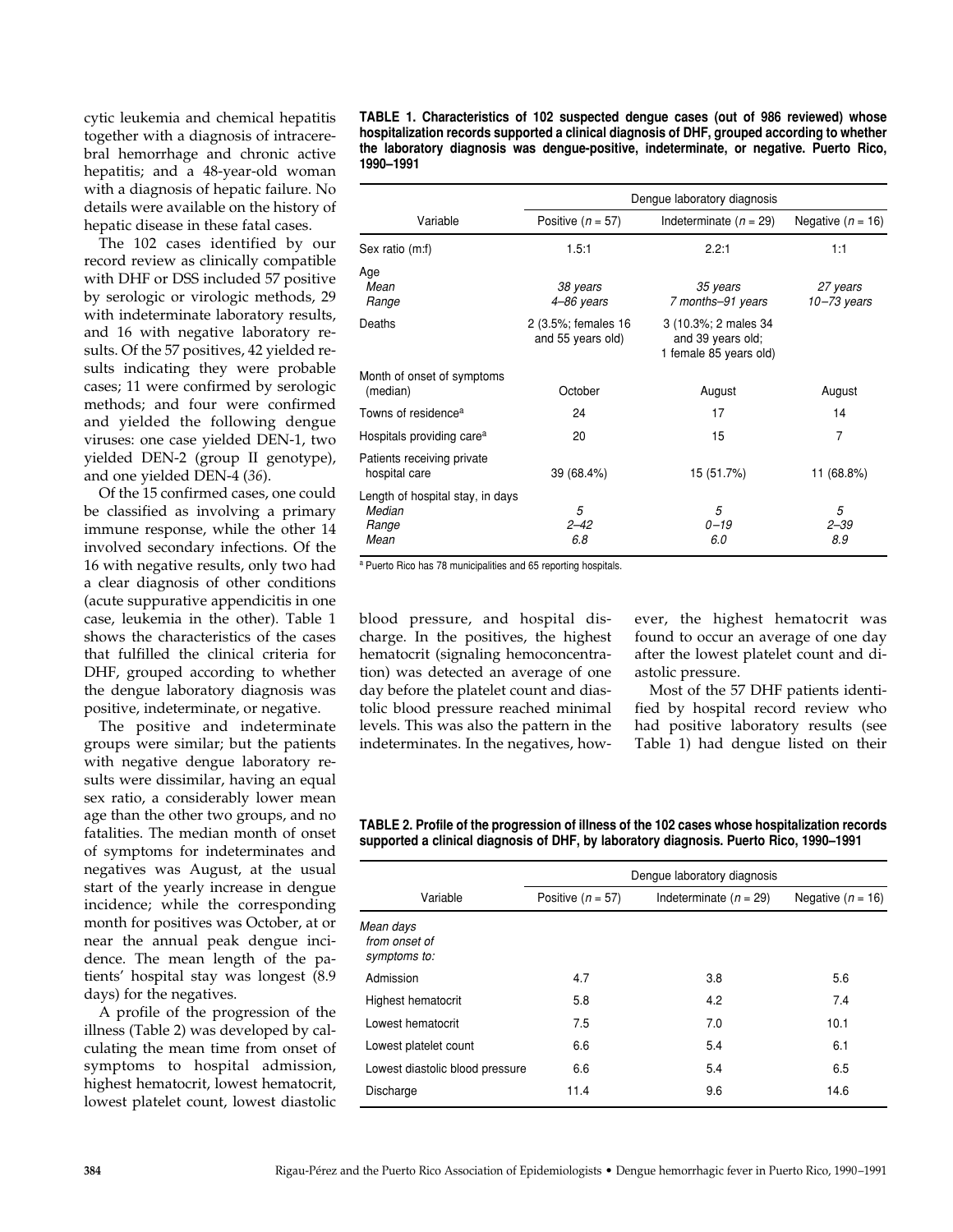cytic leukemia and chemical hepatitis together with a diagnosis of intracerebral hemorrhage and chronic active hepatitis; and a 48-year-old woman with a diagnosis of hepatic failure. No details were available on the history of hepatic disease in these fatal cases.

The 102 cases identified by our record review as clinically compatible with DHF or DSS included 57 positive by serologic or virologic methods, 29 with indeterminate laboratory results, and 16 with negative laboratory results. Of the 57 positives, 42 yielded results indicating they were probable cases; 11 were confirmed by serologic methods; and four were confirmed and yielded the following dengue viruses: one case yielded DEN-1, two yielded DEN-2 (group II genotype), and one yielded DEN-4 (*36*).

Of the 15 confirmed cases, one could be classified as involving a primary immune response, while the other 14 involved secondary infections. Of the 16 with negative results, only two had a clear diagnosis of other conditions (acute suppurative appendicitis in one case, leukemia in the other). Table 1 shows the characteristics of the cases that fulfilled the clinical criteria for DHF, grouped according to whether the dengue laboratory diagnosis was positive, indeterminate, or negative.

The positive and indeterminate groups were similar; but the patients with negative dengue laboratory results were dissimilar, having an equal sex ratio, a considerably lower mean age than the other two groups, and no fatalities. The median month of onset of symptoms for indeterminates and negatives was August, at the usual start of the yearly increase in dengue incidence; while the corresponding month for positives was October, at or near the annual peak dengue incidence. The mean length of the patients' hospital stay was longest (8.9 days) for the negatives.

A profile of the progression of the illness (Table 2) was developed by calculating the mean time from onset of symptoms to hospital admission, highest hematocrit, lowest hematocrit, lowest platelet count, lowest diastolic

**TABLE 1. Characteristics of 102 suspected dengue cases (out of 986 reviewed) whose hospitalization records supported a clinical diagnosis of DHF, grouped according to whether the laboratory diagnosis was dengue-positive, indeterminate, or negative. Puerto Rico, 1990–1991**

|                                                             | Dengue laboratory diagnosis              |                                                                     |                             |  |
|-------------------------------------------------------------|------------------------------------------|---------------------------------------------------------------------|-----------------------------|--|
| Variable                                                    | Positive $(n = 57)$                      | Indeterminate $(n = 29)$                                            | Negative $(n = 16)$         |  |
| Sex ratio (m:f)                                             | 1.5:1                                    | 2.2:1                                                               | 1:1                         |  |
| Age<br>Mean<br>Range                                        | 38 years<br>4-86 years                   | 35 years<br>7 months-91 years                                       | 27 years<br>$10 - 73$ years |  |
| Deaths                                                      | 2 (3.5%; females 16<br>and 55 years old) | 3 (10.3%; 2 males 34<br>and 39 years old;<br>1 female 85 years old) |                             |  |
| Month of onset of symptoms<br>(median)                      | October                                  | August                                                              | August                      |  |
| Towns of residence <sup>a</sup>                             | 24                                       | 17                                                                  | 14                          |  |
| Hospitals providing care <sup>a</sup>                       | 20                                       | 15                                                                  | 7                           |  |
| Patients receiving private<br>hospital care                 | 39 (68.4%)                               | 15 (51.7%)                                                          | 11 (68.8%)                  |  |
| Length of hospital stay, in days<br>Median<br>Range<br>Mean | 5<br>$2 - 42$<br>6.8                     | 5<br>$0 - 19$<br>6.0                                                | 5<br>$2 - 39$<br>8.9        |  |

<sup>a</sup> Puerto Rico has 78 municipalities and 65 reporting hospitals.

blood pressure, and hospital discharge. In the positives, the highest hematocrit (signaling hemoconcentration) was detected an average of one day before the platelet count and diastolic blood pressure reached minimal levels. This was also the pattern in the indeterminates. In the negatives, however, the highest hematocrit was found to occur an average of one day after the lowest platelet count and diastolic pressure.

Most of the 57 DHF patients identified by hospital record review who had positive laboratory results (see Table 1) had dengue listed on their

#### **TABLE 2. Profile of the progression of illness of the 102 cases whose hospitalization records supported a clinical diagnosis of DHF, by laboratory diagnosis. Puerto Rico, 1990–1991**

|                                            | Dengue laboratory diagnosis |                          |                     |  |
|--------------------------------------------|-----------------------------|--------------------------|---------------------|--|
| Variable                                   | Positive $(n = 57)$         | Indeterminate $(n = 29)$ | Negative $(n = 16)$ |  |
| Mean days<br>from onset of<br>symptoms to: |                             |                          |                     |  |
| Admission                                  | 4.7                         | 3.8                      | 5.6                 |  |
| <b>Highest hematocrit</b>                  | 5.8                         | 4.2                      | 7.4                 |  |
| Lowest hematocrit                          | 7.5                         | 7.0                      | 10.1                |  |
| Lowest platelet count                      | 6.6                         | 5.4                      | 6.1                 |  |
| Lowest diastolic blood pressure            | 6.6                         | 5.4                      | 6.5                 |  |
| Discharge                                  | 11.4                        | 9.6                      | 14.6                |  |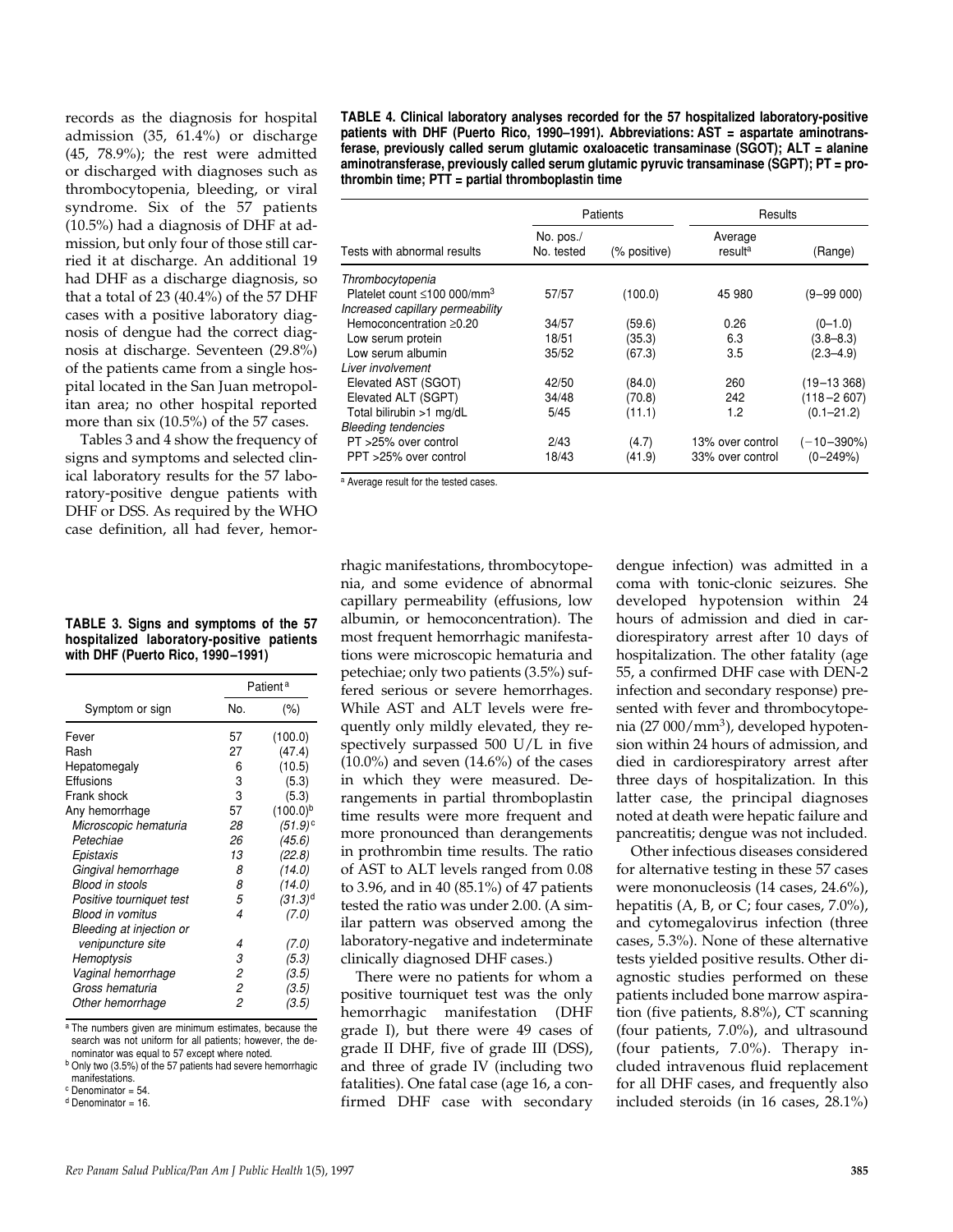records as the diagnosis for hospital admission (35, 61.4%) or discharge (45, 78.9%); the rest were admitted or discharged with diagnoses such as thrombocytopenia, bleeding, or viral syndrome. Six of the 57 patients (10.5%) had a diagnosis of DHF at admission, but only four of those still carried it at discharge. An additional 19 had DHF as a discharge diagnosis, so that a total of 23 (40.4%) of the 57 DHF cases with a positive laboratory diagnosis of dengue had the correct diagnosis at discharge. Seventeen (29.8%) of the patients came from a single hospital located in the San Juan metropolitan area; no other hospital reported more than six (10.5%) of the 57 cases.

Tables 3 and 4 show the frequency of signs and symptoms and selected clinical laboratory results for the 57 laboratory-positive dengue patients with DHF or DSS. As required by the WHO case definition, all had fever, hemor-

| TABLE 3. Signs and symptoms of the 57     |
|-------------------------------------------|
| hospitalized laboratory-positive patients |
| with DHF (Puerto Rico, 1990-1991)         |

|                          |     | Patient <sup>a</sup> |  |
|--------------------------|-----|----------------------|--|
| Symptom or sign          | No. | $(\% )$              |  |
| Fever                    | 57  | (100.0)              |  |
| Rash                     | 27  | (47.4)               |  |
| Hepatomegaly             | 6   | (10.5)               |  |
| Effusions                | 3   | (5.3)                |  |
| Frank shock              | 3   | (5.3)                |  |
| Any hemorrhage           | 57  | $(100.0)^{b}$        |  |
| Microscopic hematuria    | 28  | (51.9)°              |  |
| Petechiae                | 26  | (45.6)               |  |
| Epistaxis                | 13  | (22.8)               |  |
| Gingival hemorrhage      | 8   | (14.0)               |  |
| <b>Blood in stools</b>   | 8   | (14.0)               |  |
| Positive tourniquet test | 5   | $(31.3)^d$           |  |
| Blood in vomitus         | 4   | (7.0)                |  |
| Bleeding at injection or |     |                      |  |
| venipuncture site        | 4   | (7.0)                |  |
| Hemoptysis               | 3   | (5.3)                |  |
| Vaginal hemorrhage       | 2   | (3.5)                |  |
| Gross hematuria          | 2   | (3.5)                |  |
| Other hemorrhage         | 2   | (3.5)                |  |
|                          |     |                      |  |

<sup>a</sup> The numbers given are minimum estimates, because the search was not uniform for all patients; however, the denominator was equal to 57 except where noted.

<sup>b</sup> Only two (3.5%) of the 57 patients had severe hemorrhagic manifestations.

 $c$  Denominator = 54.

 $d$  Denominator = 16

**TABLE 4. Clinical laboratory analyses recorded for the 57 hospitalized laboratory-positive patients with DHF (Puerto Rico, 1990–1991). Abbreviations: AST = aspartate aminotransferase, previously called serum glutamic oxaloacetic transaminase (SGOT); ALT = alanine aminotransferase, previously called serum glutamic pyruvic transaminase (SGPT); PT = prothrombin time; PTT = partial thromboplastin time**

|                                                | <b>Patients</b>         |              | Results                        |                |
|------------------------------------------------|-------------------------|--------------|--------------------------------|----------------|
| Tests with abnormal results                    | No. pos./<br>No. tested | (% positive) | Average<br>result <sup>a</sup> | (Range)        |
| Thrombocytopenia                               |                         |              |                                |                |
| Platelet count $\leq 100 000$ /mm <sup>3</sup> | 57/57                   | (100.0)      | 45 980                         | (9–99 000)     |
| Increased capillary permeability               |                         |              |                                |                |
| Hemoconcentration $\geq 0.20$                  | 34/57                   | (59.6)       | 0.26                           | $(0 - 1.0)$    |
| Low serum protein                              | 18/51                   | (35.3)       | 6.3                            | $(3.8 - 8.3)$  |
| Low serum albumin                              | 35/52                   | (67.3)       | 3.5                            | $(2.3 - 4.9)$  |
| Liver involvement                              |                         |              |                                |                |
| Elevated AST (SGOT)                            | 42/50                   | (84.0)       | 260                            | $(19 - 13368)$ |
| Elevated ALT (SGPT)                            | 34/48                   | (70.8)       | 242                            | $(118 - 2607)$ |
| Total bilirubin >1 mg/dL                       | 5/45                    | (11.1)       | 1.2                            | $(0.1 - 21.2)$ |
| <b>Bleeding tendencies</b>                     |                         |              |                                |                |
| PT >25% over control                           | 2/43                    | (4.7)        | 13% over control               | $(-10-390\%)$  |
| PPT >25% over control                          | 18/43                   | (41.9)       | 33% over control               | $(0 - 249%)$   |

<sup>a</sup> Average result for the tested cases.

rhagic manifestations, thrombocytopenia, and some evidence of abnormal capillary permeability (effusions, low albumin, or hemoconcentration). The most frequent hemorrhagic manifestations were microscopic hematuria and petechiae; only two patients (3.5%) suffered serious or severe hemorrhages. While AST and ALT levels were frequently only mildly elevated, they respectively surpassed 500 U/L in five  $(10.0\%)$  and seven  $(14.6\%)$  of the cases in which they were measured. Derangements in partial thromboplastin time results were more frequent and more pronounced than derangements in prothrombin time results. The ratio of AST to ALT levels ranged from 0.08 to 3.96, and in 40 (85.1%) of 47 patients tested the ratio was under 2.00. (A similar pattern was observed among the laboratory-negative and indeterminate clinically diagnosed DHF cases.)

There were no patients for whom a positive tourniquet test was the only hemorrhagic manifestation (DHF grade I), but there were 49 cases of grade II DHF, five of grade III (DSS), and three of grade IV (including two fatalities). One fatal case (age 16, a confirmed DHF case with secondary

dengue infection) was admitted in a coma with tonic-clonic seizures. She developed hypotension within 24 hours of admission and died in cardiorespiratory arrest after 10 days of hospitalization. The other fatality (age 55, a confirmed DHF case with DEN-2 infection and secondary response) presented with fever and thrombocytopenia (27 000/mm<sup>3</sup>), developed hypotension within 24 hours of admission, and died in cardiorespiratory arrest after three days of hospitalization. In this latter case, the principal diagnoses noted at death were hepatic failure and pancreatitis; dengue was not included.

Other infectious diseases considered for alternative testing in these 57 cases were mononucleosis (14 cases, 24.6%), hepatitis (A, B, or C; four cases, 7.0%), and cytomegalovirus infection (three cases, 5.3%). None of these alternative tests yielded positive results. Other diagnostic studies performed on these patients included bone marrow aspiration (five patients, 8.8%), CT scanning (four patients, 7.0%), and ultrasound (four patients, 7.0%). Therapy included intravenous fluid replacement for all DHF cases, and frequently also included steroids (in 16 cases, 28.1%)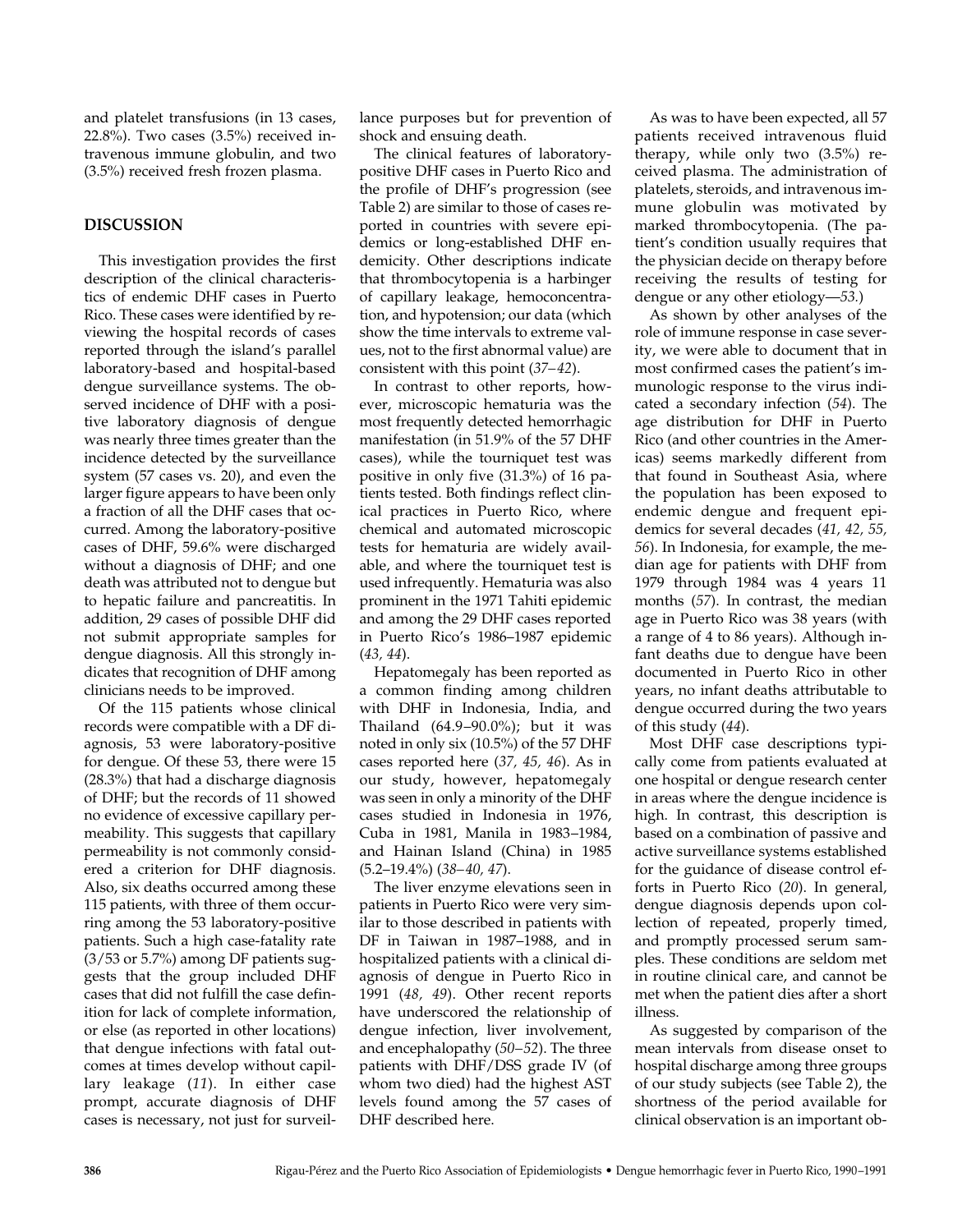and platelet transfusions (in 13 cases, 22.8%). Two cases (3.5%) received intravenous immune globulin, and two (3.5%) received fresh frozen plasma.

## **DISCUSSION**

This investigation provides the first description of the clinical characteristics of endemic DHF cases in Puerto Rico. These cases were identified by reviewing the hospital records of cases reported through the island's parallel laboratory-based and hospital-based dengue surveillance systems. The observed incidence of DHF with a positive laboratory diagnosis of dengue was nearly three times greater than the incidence detected by the surveillance system (57 cases vs. 20), and even the larger figure appears to have been only a fraction of all the DHF cases that occurred. Among the laboratory-positive cases of DHF, 59.6% were discharged without a diagnosis of DHF; and one death was attributed not to dengue but to hepatic failure and pancreatitis. In addition, 29 cases of possible DHF did not submit appropriate samples for dengue diagnosis. All this strongly indicates that recognition of DHF among clinicians needs to be improved.

Of the 115 patients whose clinical records were compatible with a DF diagnosis, 53 were laboratory-positive for dengue. Of these 53, there were 15 (28.3%) that had a discharge diagnosis of DHF; but the records of 11 showed no evidence of excessive capillary permeability. This suggests that capillary permeability is not commonly considered a criterion for DHF diagnosis. Also, six deaths occurred among these 115 patients, with three of them occurring among the 53 laboratory-positive patients. Such a high case-fatality rate (3/53 or 5.7%) among DF patients suggests that the group included DHF cases that did not fulfill the case definition for lack of complete information, or else (as reported in other locations) that dengue infections with fatal outcomes at times develop without capillary leakage (*11*). In either case prompt, accurate diagnosis of DHF cases is necessary, not just for surveillance purposes but for prevention of shock and ensuing death.

The clinical features of laboratorypositive DHF cases in Puerto Rico and the profile of DHF's progression (see Table 2) are similar to those of cases reported in countries with severe epidemics or long-established DHF endemicity. Other descriptions indicate that thrombocytopenia is a harbinger of capillary leakage, hemoconcentration, and hypotension; our data (which show the time intervals to extreme values, not to the first abnormal value) are consistent with this point (*37–42*).

In contrast to other reports, however, microscopic hematuria was the most frequently detected hemorrhagic manifestation (in 51.9% of the 57 DHF cases), while the tourniquet test was positive in only five (31.3%) of 16 patients tested. Both findings reflect clinical practices in Puerto Rico, where chemical and automated microscopic tests for hematuria are widely available, and where the tourniquet test is used infrequently. Hematuria was also prominent in the 1971 Tahiti epidemic and among the 29 DHF cases reported in Puerto Rico's 1986–1987 epidemic (*43, 44*).

Hepatomegaly has been reported as a common finding among children with DHF in Indonesia, India, and Thailand (64.9–90.0%); but it was noted in only six (10.5%) of the 57 DHF cases reported here (*37, 45, 46*). As in our study, however, hepatomegaly was seen in only a minority of the DHF cases studied in Indonesia in 1976, Cuba in 1981, Manila in 1983–1984, and Hainan Island (China) in 1985 (5.2–19.4%) (*38–40, 47*).

The liver enzyme elevations seen in patients in Puerto Rico were very similar to those described in patients with DF in Taiwan in 1987–1988, and in hospitalized patients with a clinical diagnosis of dengue in Puerto Rico in 1991 (*48, 49*). Other recent reports have underscored the relationship of dengue infection, liver involvement, and encephalopathy (*50–52*). The three patients with DHF/DSS grade IV (of whom two died) had the highest AST levels found among the 57 cases of DHF described here.

As was to have been expected, all 57 patients received intravenous fluid therapy, while only two (3.5%) received plasma. The administration of platelets, steroids, and intravenous immune globulin was motivated by marked thrombocytopenia. (The patient's condition usually requires that the physician decide on therapy before receiving the results of testing for dengue or any other etiology—*53.*)

As shown by other analyses of the role of immune response in case severity, we were able to document that in most confirmed cases the patient's immunologic response to the virus indicated a secondary infection (*54*). The age distribution for DHF in Puerto Rico (and other countries in the Americas) seems markedly different from that found in Southeast Asia, where the population has been exposed to endemic dengue and frequent epidemics for several decades (*41, 42, 55, 56*). In Indonesia, for example, the median age for patients with DHF from 1979 through 1984 was 4 years 11 months (*57*). In contrast, the median age in Puerto Rico was 38 years (with a range of 4 to 86 years). Although infant deaths due to dengue have been documented in Puerto Rico in other years, no infant deaths attributable to dengue occurred during the two years of this study (*44*).

Most DHF case descriptions typically come from patients evaluated at one hospital or dengue research center in areas where the dengue incidence is high. In contrast, this description is based on a combination of passive and active surveillance systems established for the guidance of disease control efforts in Puerto Rico (*20*). In general, dengue diagnosis depends upon collection of repeated, properly timed, and promptly processed serum samples. These conditions are seldom met in routine clinical care, and cannot be met when the patient dies after a short illness.

As suggested by comparison of the mean intervals from disease onset to hospital discharge among three groups of our study subjects (see Table 2), the shortness of the period available for clinical observation is an important ob-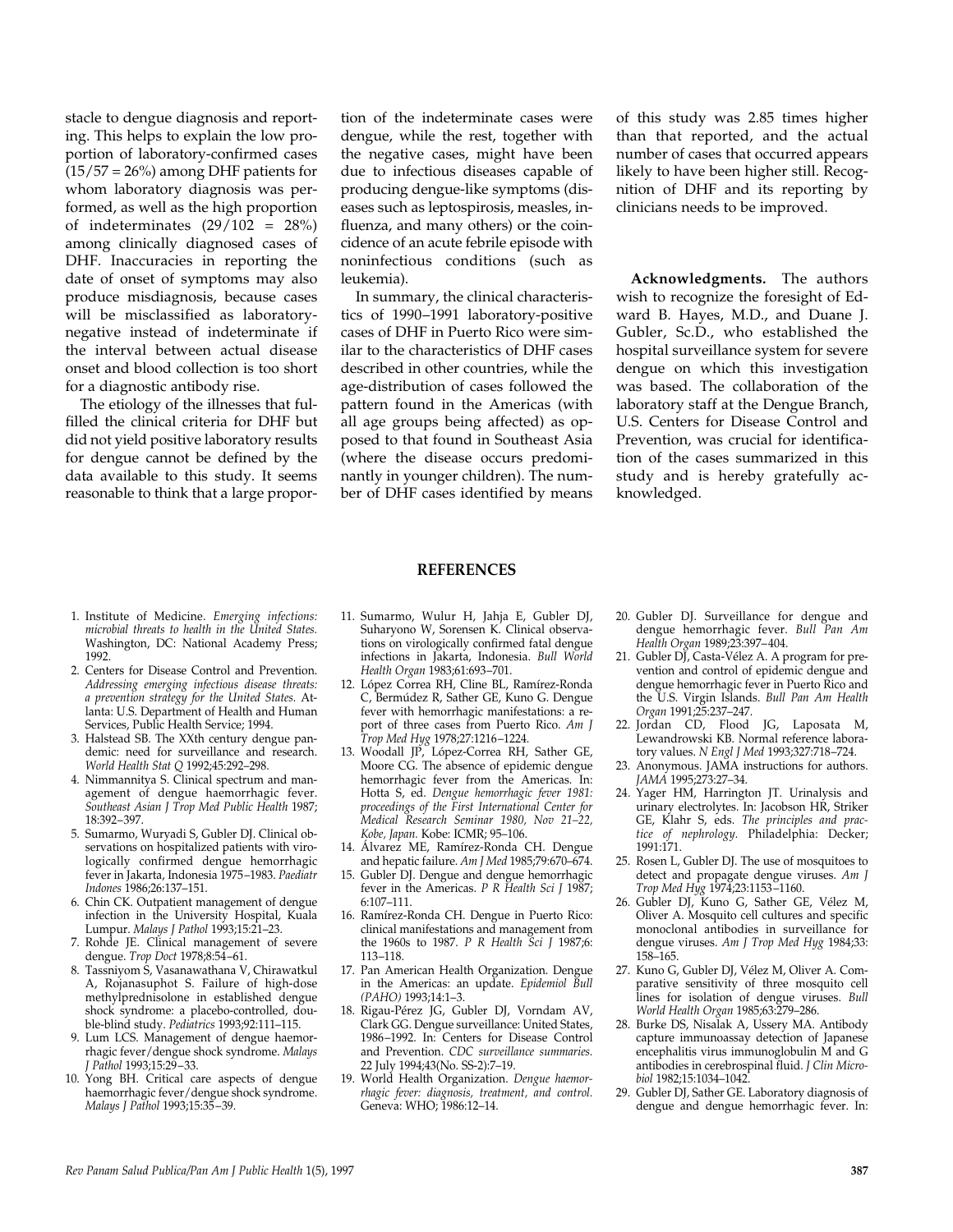stacle to dengue diagnosis and reporting. This helps to explain the low proportion of laboratory-confirmed cases  $(15/57 = 26%)$  among DHF patients for whom laboratory diagnosis was performed, as well as the high proportion of indeterminates  $(29/102 = 28\%)$ among clinically diagnosed cases of DHF. Inaccuracies in reporting the date of onset of symptoms may also produce misdiagnosis, because cases will be misclassified as laboratorynegative instead of indeterminate if the interval between actual disease onset and blood collection is too short for a diagnostic antibody rise.

The etiology of the illnesses that fulfilled the clinical criteria for DHF but did not yield positive laboratory results for dengue cannot be defined by the data available to this study. It seems reasonable to think that a large propor-

tion of the indeterminate cases were dengue, while the rest, together with the negative cases, might have been due to infectious diseases capable of producing dengue-like symptoms (diseases such as leptospirosis, measles, influenza, and many others) or the coincidence of an acute febrile episode with noninfectious conditions (such as leukemia).

In summary, the clinical characteristics of 1990–1991 laboratory-positive cases of DHF in Puerto Rico were similar to the characteristics of DHF cases described in other countries, while the age-distribution of cases followed the pattern found in the Americas (with all age groups being affected) as opposed to that found in Southeast Asia (where the disease occurs predominantly in younger children). The number of DHF cases identified by means

of this study was 2.85 times higher than that reported, and the actual number of cases that occurred appears likely to have been higher still. Recognition of DHF and its reporting by clinicians needs to be improved.

**Acknowledgments.** The authors wish to recognize the foresight of Edward B. Hayes, M.D., and Duane J. Gubler, Sc.D., who established the hospital surveillance system for severe dengue on which this investigation was based. The collaboration of the laboratory staff at the Dengue Branch, U.S. Centers for Disease Control and Prevention, was crucial for identification of the cases summarized in this study and is hereby gratefully acknowledged.

- 
- 1. Institute of Medicine. *Emerging infections: microbial threats to health in the United States.* Washington, DC: National Academy Press; 1992.
- 2. Centers for Disease Control and Prevention. *Addressing emerging infectious disease threats: a prevention strategy for the United States.* Atlanta: U.S. Department of Health and Human Services, Public Health Service; 1994.
- 3. Halstead SB. The XXth century dengue pandemic: need for surveillance and research. *World Health Stat Q* 1992;45:292–298.
- 4. Nimmannitya S. Clinical spectrum and management of dengue haemorrhagic fever. *Southeast Asian J Trop Med Public Health* 1987; 18:392–397.
- 5. Sumarmo, Wuryadi S, Gubler DJ. Clinical observations on hospitalized patients with virologically confirmed dengue hemorrhagic fever in Jakarta, Indonesia 1975–1983. *Paediatr Indones* 1986;26:137–151.
- 6. Chin CK. Outpatient management of dengue infection in the University Hospital, Kuala Lumpur. *Malays J Pathol* 1993;15:21–23.
- 7. Rohde JE. Clinical management of severe dengue. *Trop Doct* 1978;8:54–61.
- 8. Tassniyom S, Vasanawathana V, Chirawatkul A, Rojanasuphot S. Failure of high-dose methylprednisolone in established dengue shock syndrome: a placebo-controlled, double-blind study. *Pediatrics* 1993;92:111–115.
- 9. Lum LCS. Management of dengue haemorrhagic fever/dengue shock syndrome. *Malays J Pathol* 1993;15:29–33.
- 10. Yong BH. Critical care aspects of dengue haemorrhagic fever/dengue shock syndrome. *Malays J Pathol* 1993;15:35–39.

11. Sumarmo, Wulur H, Jahja E, Gubler DJ, Suharyono W, Sorensen K. Clinical observations on virologically confirmed fatal dengue infections in Jakarta, Indonesia. *Bull World Health Organ* 1983;61:693–701.

**REFERENCES**

- 12. López Correa RH, Cline BL, Ramírez-Ronda C, Bermúdez R, Sather GE, Kuno G. Dengue fever with hemorrhagic manifestations: a report of three cases from Puerto Rico. *Am J Trop Med Hyg* 1978;27:1216–1224.
- 13. Woodall JP, López-Correa RH, Sather GE, Moore CG. The absence of epidemic dengue hemorrhagic fever from the Americas. In: Hotta S, ed. *Dengue hemorrhagic fever 1981: proceedings of the First International Center for Medical Research Seminar 1980, Nov 21–22, Kobe, Japan.* Kobe: ICMR; 95–106.
- 14. Álvarez ME, Ramírez-Ronda CH. Dengue and hepatic failure. *Am J Med* 1985;79:670–674.
- 15. Gubler DJ. Dengue and dengue hemorrhagic fever in the Americas. *P R Health Sci J* 1987; 6:107–111.
- 16. Ramírez-Ronda CH. Dengue in Puerto Rico: clinical manifestations and management from the 1960s to 1987. *P R Health Sci J* 1987;6: 113–118.
- 17. Pan American Health Organization. Dengue in the Americas: an update. *Epidemiol Bull (PAHO)* 1993;14:1–3.
- 18. Rigau-Pérez JG, Gubler DJ, Vorndam AV, Clark GG. Dengue surveillance: United States, 1986–1992. In: Centers for Disease Control and Prevention. *CDC surveillance summaries.* 22 July 1994;43(No. SS-2):7–19.
- 19. World Health Organization. *Dengue haemorrhagic fever: diagnosis, treatment, and control.* Geneva: WHO; 1986:12–14.
- 20. Gubler DJ. Surveillance for dengue and dengue hemorrhagic fever. *Bull Pan Am Health Organ* 1989;23:397–404.
- 21. Gubler DJ, Casta-Vélez A. A program for prevention and control of epidemic dengue and dengue hemorrhagic fever in Puerto Rico and the U.S. Virgin Islands. *Bull Pan Am Health Organ* 1991;25:237–247.
- 22. Jordan CD, Flood JG, Laposata M, Lewandrowski KB. Normal reference laboratory values. *N Engl J Med* 1993;327:718–724.
- 23. Anonymous. JAMA instructions for authors. *JAMA* 1995;273:27–34.
- 24. Yager HM, Harrington JT. Urinalysis and urinary electrolytes. In: Jacobson HR, Striker GE, Klahr S, eds. *The principles and practice of nephrology.* Philadelphia: Decker; 1991:171.
- 25. Rosen L, Gubler DJ. The use of mosquitoes to detect and propagate dengue viruses. *Am J Trop Med Hyg* 1974;23:1153–1160.
- 26. Gubler DJ, Kuno G, Sather GE, Vélez M, Oliver A. Mosquito cell cultures and specific monoclonal antibodies in surveillance for dengue viruses. *Am J Trop Med Hyg* 1984;33: 158–165.
- 27. Kuno G, Gubler DJ, Vélez M, Oliver A. Comparative sensitivity of three mosquito cell lines for isolation of dengue viruses. *Bull World Health Organ* 1985;63:279–286.
- 28. Burke DS, Nisalak A, Ussery MA. Antibody capture immunoassay detection of Japanese encephalitis virus immunoglobulin M and G antibodies in cerebrospinal fluid. *J Clin Microbiol* 1982;15:1034–1042.
- 29. Gubler DJ, Sather GE. Laboratory diagnosis of dengue and dengue hemorrhagic fever. In: